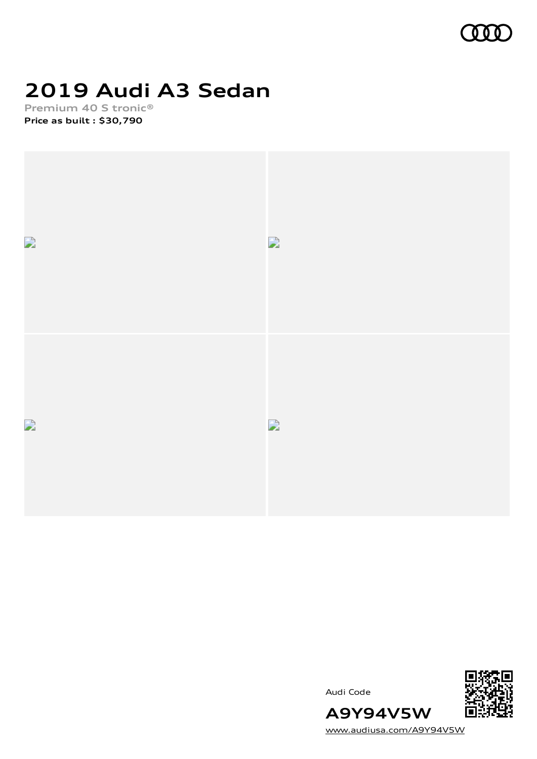

# **2019 Audi A3 Sedan**

**Premium 40 S tronic® Price as built [:](#page-10-0) \$30,790**



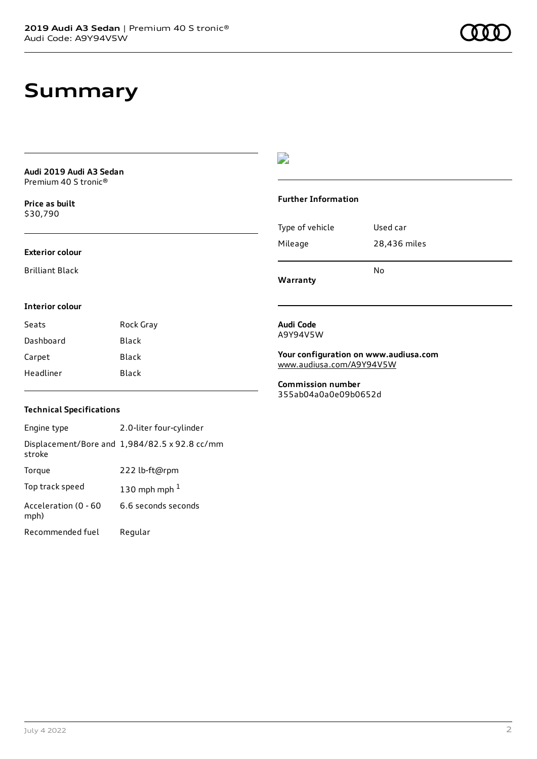# **Summary**

| Audi 2019 Audi A3 Sedan |  |
|-------------------------|--|
| Premium 40 S tronic®    |  |

**Price as buil[t](#page-10-0)** \$30,790

### **Exterior colour**

Brilliant Black

# $\overline{\phantom{a}}$

## **Further Information**

|                 | N٥           |
|-----------------|--------------|
| Mileage         | 28,436 miles |
| Type of vehicle | Used car     |

**Warranty**

### **Interior colour**

| Seats     | Rock Gray |
|-----------|-----------|
| Dashboard | Black     |
| Carpet    | Black     |
| Headliner | Black     |

#### **Audi Code** A9Y94V5W

**Your configuration on www.audiusa.com** [www.audiusa.com/A9Y94V5W](https://www.audiusa.com/A9Y94V5W)

**Commission number** 355ab04a0a0e09b0652d

# **Technical Specifications**

| Engine type                  | 2.0-liter four-cylinder                       |
|------------------------------|-----------------------------------------------|
| stroke                       | Displacement/Bore and 1,984/82.5 x 92.8 cc/mm |
| Torque                       | 222 lb-ft@rpm                                 |
| Top track speed              | 130 mph mph $1$                               |
| Acceleration (0 - 60<br>mph) | 6.6 seconds seconds                           |
| Recommended fuel             | Regular                                       |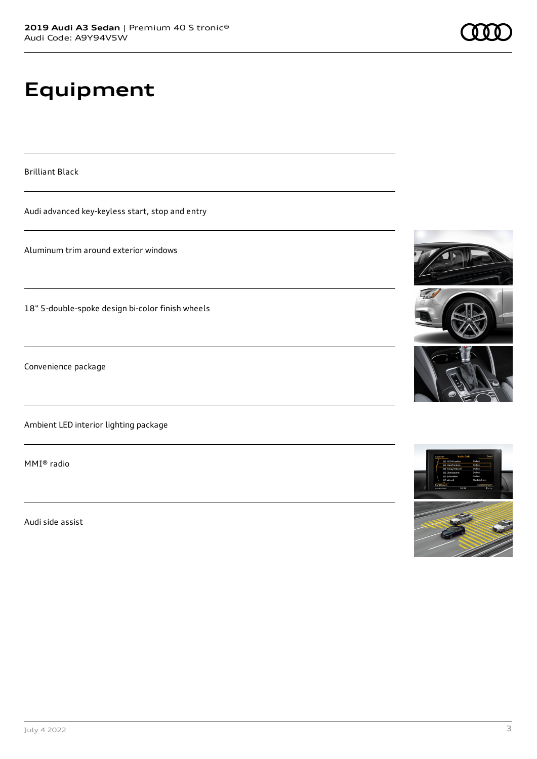# **Equipment**

Brilliant Black

Audi advanced key-keyless start, stop and entry

Aluminum trim around exterior windows

18" 5-double-spoke design bi-color finish wheels

Convenience package

Ambient LED interior lighting package

MMI® radio

Audi side assist







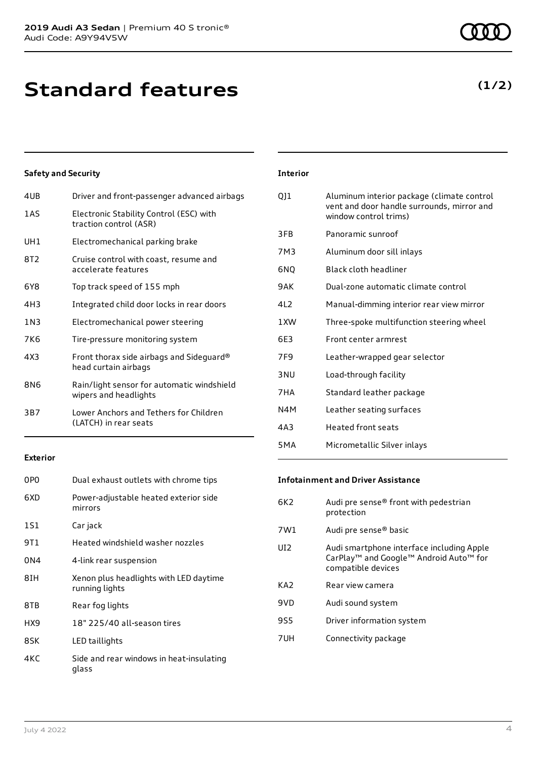**Standard features**

# **Safety and Security**

| 4UB             | Driver and front-passenger advanced airbags                         |
|-----------------|---------------------------------------------------------------------|
| 1AS             | Electronic Stability Control (ESC) with<br>traction control (ASR)   |
| UH1             | Electromechanical parking brake                                     |
| 8T2             | Cruise control with coast, resume and<br>accelerate features        |
| 6Y8             | Top track speed of 155 mph                                          |
| 4H <sub>3</sub> | Integrated child door locks in rear doors                           |
| 1N3             | Electromechanical power steering                                    |
| 7K6             | Tire-pressure monitoring system                                     |
| 4X3             | Front thorax side airbags and Sideguard®<br>head curtain airbags    |
| 8N6             | Rain/light sensor for automatic windshield<br>wipers and headlights |
| 3B7             | Lower Anchors and Tethers for Children<br>(LATCH) in rear seats     |
|                 |                                                                     |

## **Exterior**

| 0PO  | Dual exhaust outlets with chrome tips                    |
|------|----------------------------------------------------------|
| 6XD  | Power-adjustable heated exterior side<br>mirrors         |
| 1S1  | Car jack                                                 |
| 9T 1 | Heated windshield washer nozzles                         |
| 0N4  | 4-link rear suspension                                   |
| 8IH  | Xenon plus headlights with LED daytime<br>running lights |
| 8TB  | Rear fog lights                                          |
| HX9  | 18" 225/40 all-season tires                              |
| 8SK  | LED taillights                                           |
| 4KC  | Side and rear windows in heat-insulating<br>glass        |

## **Interior**

| QJ1             | Aluminum interior package (climate control<br>vent and door handle surrounds, mirror and<br>window control trims) |
|-----------------|-------------------------------------------------------------------------------------------------------------------|
| 3FB             | Panoramic sunroof                                                                                                 |
| 7M3             | Aluminum door sill inlays                                                                                         |
| 6NO             | Black cloth headliner                                                                                             |
| 9 A K           | Dual-zone automatic climate control                                                                               |
| 412             | Manual-dimming interior rear view mirror                                                                          |
| 1 XW            | Three-spoke multifunction steering wheel                                                                          |
| 6F3             | Front center armrest                                                                                              |
| 7F9             | Leather-wrapped gear selector                                                                                     |
| 3 <sub>NU</sub> | Load-through facility                                                                                             |
| 7HA             | Standard leather package                                                                                          |
| N4M             | Leather seating surfaces                                                                                          |
| 4A3             | <b>Heated front seats</b>                                                                                         |
| 5 M A           | Micrometallic Silver inlays                                                                                       |

### **Infotainment and Driver Assistance**

| 6K2             | Audi pre sense® front with pedestrian<br>protection                                                                               |
|-----------------|-----------------------------------------------------------------------------------------------------------------------------------|
| 7W1             | Audi pre sense® basic                                                                                                             |
| UI <sub>2</sub> | Audi smartphone interface including Apple<br>CarPlay <sup>™</sup> and Google™ Android Auto <sup>™</sup> for<br>compatible devices |
| KA <sub>2</sub> | Rear view camera                                                                                                                  |
| 9VD             | Audi sound system                                                                                                                 |
| 9S5             | Driver information system                                                                                                         |
| 7UH             | Connectivity package                                                                                                              |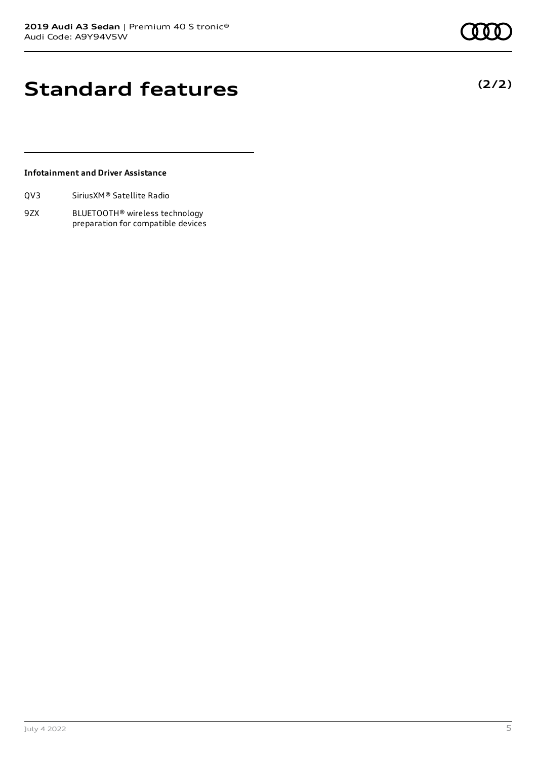# **Standard features**

## **Infotainment and Driver Assistance**

9ZX BLUETOOTH® wireless technology preparation for compatible devices **(2/2)**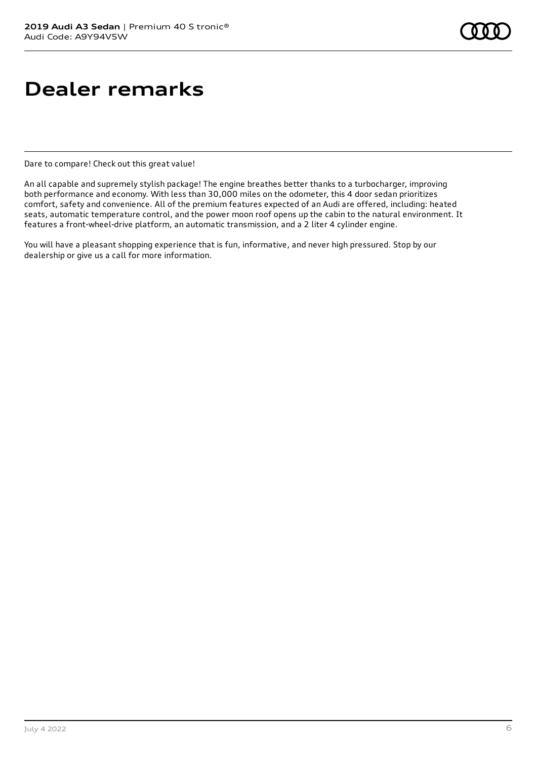# **Dealer remarks**

Dare to compare! Check out this great value!

An all capable and supremely stylish package! The engine breathes better thanks to a turbocharger, improving both performance and economy. With less than 30,000 miles on the odometer, this 4 door sedan prioritizes comfort, safety and convenience. All of the premium features expected of an Audi are offered, including: heated seats, automatic temperature control, and the power moon roof opens up the cabin to the natural environment. It features a front-wheel-drive platform, an automatic transmission, and a 2 liter 4 cylinder engine.

You will have a pleasant shopping experience that is fun, informative, and never high pressured. Stop by our dealership or give us a call for more information.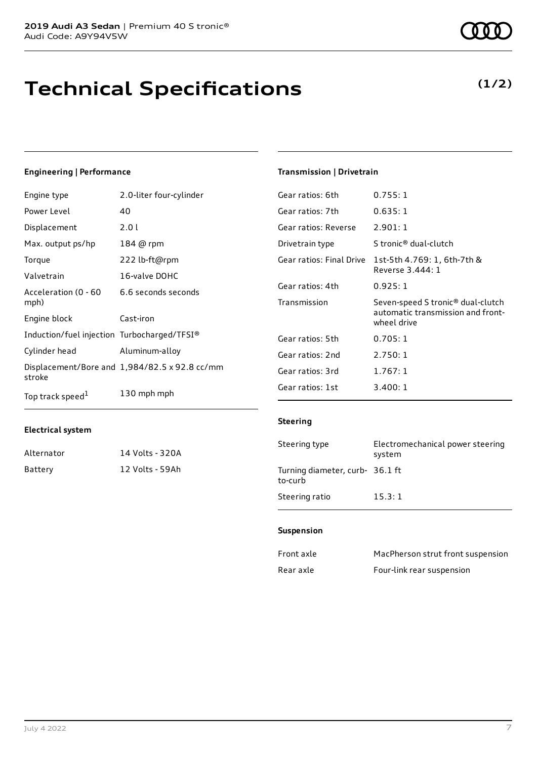# **Technical Specifications**

# **Engineering | Performance**

| Engine type                                 | 2.0-liter four-cylinder                       | Gear          |
|---------------------------------------------|-----------------------------------------------|---------------|
| Power Level                                 | 40                                            | Gear          |
| Displacement                                | 2.01                                          | Gear          |
| Max. output ps/hp                           | 184 @ rpm                                     | <b>Drivet</b> |
| Torque                                      | 222 lb-ft@rpm                                 | Gear          |
| Valvetrain                                  | 16-valve DOHC                                 |               |
| Acceleration (0 - 60                        | 6.6 seconds seconds                           | Gear          |
| mph)                                        |                                               | Trans         |
| Engine block                                | Cast-iron                                     |               |
| Induction/fuel injection Turbocharged/TFSI® |                                               | Gear          |
| Cylinder head                               | Aluminum-alloy                                | Gear          |
| stroke                                      | Displacement/Bore and 1,984/82.5 x 92.8 cc/mm | Gear          |
| Top track speed <sup>1</sup>                | 130 mph mph                                   | Gear          |
|                                             |                                               |               |

## **Electrical system**

| Alternator | 14 Volts - 320A |
|------------|-----------------|
| Battery    | 12 Volts - 59Ah |

# **Transmission | Drivetrain**

| Gear ratios: 6th         | 0.755:1                                                                                           |
|--------------------------|---------------------------------------------------------------------------------------------------|
| Gear ratios: 7th         | 0.635:1                                                                                           |
| Gear ratios: Reverse     | 2.901:1                                                                                           |
| Drivetrain type          | S tronic® dual-clutch                                                                             |
| Gear ratios: Final Drive | 1st-5th 4.769: 1, 6th-7th &<br>Reverse 3.444: 1                                                   |
| Gear ratios: 4th         | 0.925:1                                                                                           |
| Transmission             | Seven-speed S tronic <sup>®</sup> dual-clutch<br>automatic transmission and front-<br>wheel drive |
| Gear ratios: 5th         | 0.705:1                                                                                           |
| Gear ratios: 2nd         | 2.750:1                                                                                           |
| Gear ratios: 3rd         | 1.767:1                                                                                           |
| Gear ratios: 1st         | 3.400:1                                                                                           |

### **Steering**

| Steering type                              | Electromechanical power steering<br>system |
|--------------------------------------------|--------------------------------------------|
| Turning diameter, curb- 36.1 ft<br>to-curb |                                            |
| Steering ratio                             | 15.3:1                                     |

#### **Suspension**

| Front axle | MacPherson strut front suspension |
|------------|-----------------------------------|
| Rear axle  | Four-link rear suspension         |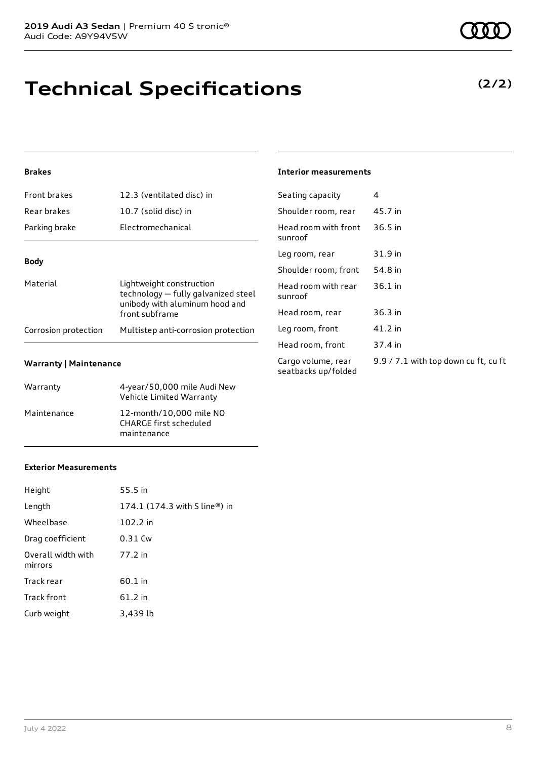# **Technical Specifications**

## **Brakes**

| <b>Front brakes</b>  | 12.3 (ventilated disc) in                                                                                           |
|----------------------|---------------------------------------------------------------------------------------------------------------------|
| Rear brakes          | 10.7 (solid disc) in                                                                                                |
| Parking brake        | <b>Electromechanical</b>                                                                                            |
| <b>Body</b>          |                                                                                                                     |
| Material             | Lightweight construction<br>technology - fully galvanized steel<br>unibody with aluminum hood and<br>front subframe |
| Corrosion protection | Multistep anti-corrosion protection                                                                                 |

### **Warranty | Maintenance**

| Warranty    | 4-year/50,000 mile Audi New<br>Vehicle Limited Warranty          |
|-------------|------------------------------------------------------------------|
| Maintenance | 12-month/10,000 mile NO<br>CHARGE first scheduled<br>maintenance |

#### **Interior measurements**

| Seating capacity                          | 4                                    |
|-------------------------------------------|--------------------------------------|
| Shoulder room, rear                       | 45.7 in                              |
| Head room with front<br>sunroof           | $36.5$ in                            |
| Leg room, rear                            | 31.9 in                              |
| Shoulder room, front                      | 54.8 in                              |
| Head room with rear<br>sunroof            | $36.1$ in                            |
| Head room, rear                           | 36.3 in                              |
| Leg room, front                           | $41.2$ in                            |
| Head room, front                          | 37.4 in                              |
| Cargo volume, rear<br>seatbacks up/folded | 9.9 / 7.1 with top down cu ft, cu ft |
|                                           |                                      |

## **Exterior Measurements**

| Height                        | 55.5 in                       |
|-------------------------------|-------------------------------|
| Length                        | 174.1 (174.3 with S line®) in |
| Wheelbase                     | 102.2 in                      |
| Drag coefficient              | 0.31 Cw                       |
| Overall width with<br>mirrors | 77.2 in                       |
| Track rear                    | 60.1 in                       |
| <b>Track front</b>            | 61.2 in                       |
| Curb weight                   | 3,439 lb                      |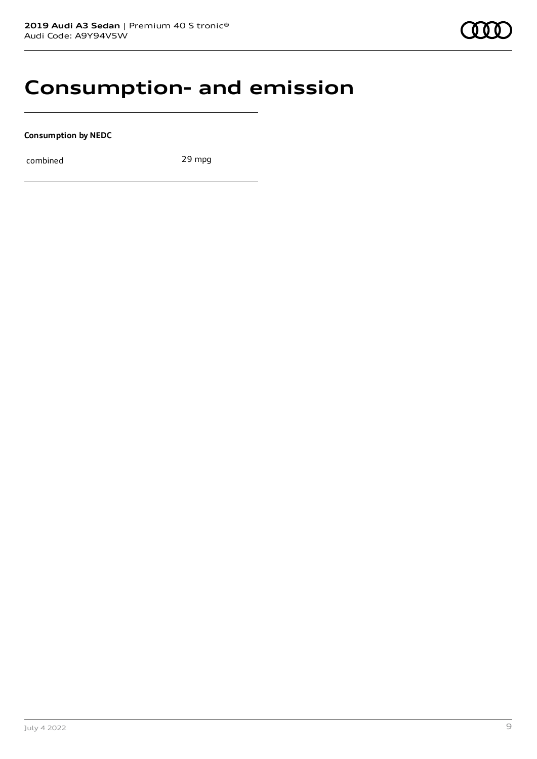# **Consumption- and emission**

**Consumption by NEDC**

combined 29 mpg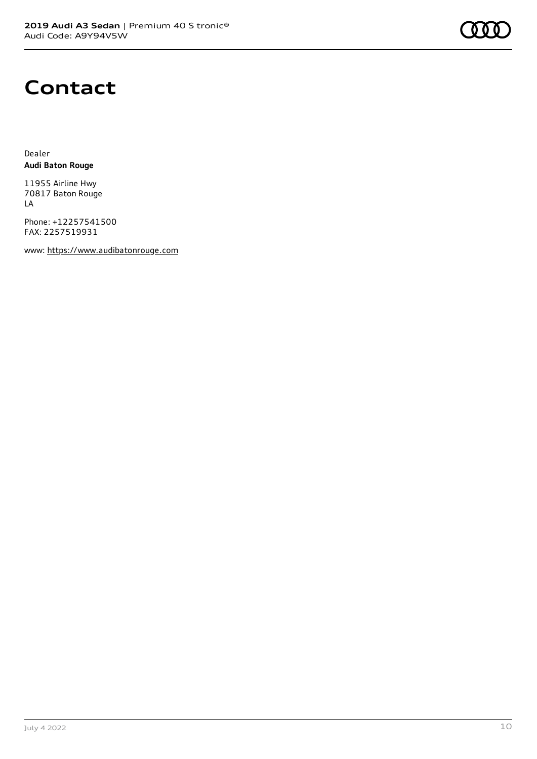

# **Contact**

Dealer **Audi Baton Rouge**

11955 Airline Hwy 70817 Baton Rouge LA

Phone: +12257541500 FAX: 2257519931

www: [https://www.audibatonrouge.com](https://www.audibatonrouge.com/)